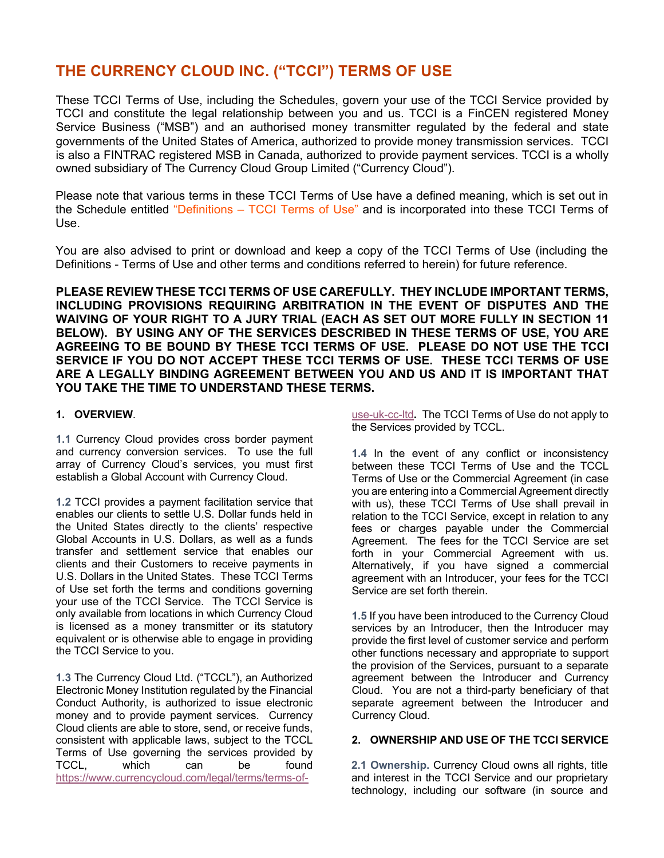# **THE CURRENCY CLOUD INC. ("TCCI") TERMS OF USE**

These TCCI Terms of Use, including the Schedules, govern your use of the TCCI Service provided by TCCI and constitute the legal relationship between you and us. TCCI is a FinCEN registered Money Service Business ("MSB") and an authorised money transmitter regulated by the federal and state governments of the United States of America, authorized to provide money transmission services. TCCI is also a FINTRAC registered MSB in Canada, authorized to provide payment services. TCCI is a wholly owned subsidiary of The Currency Cloud Group Limited ("Currency Cloud").

Please note that various terms in these TCCI Terms of Use have a defined meaning, which is set out in the Schedule entitled "Definitions – TCCI Terms of Use" and is incorporated into these TCCI Terms of Use.

You are also advised to print or download and keep a copy of the TCCI Terms of Use (including the Definitions - Terms of Use and other terms and conditions referred to herein) for future reference.

**PLEASE REVIEW THESE TCCI TERMS OF USE CAREFULLY. THEY INCLUDE IMPORTANT TERMS, INCLUDING PROVISIONS REQUIRING ARBITRATION IN THE EVENT OF DISPUTES AND THE WAIVING OF YOUR RIGHT TO A JURY TRIAL (EACH AS SET OUT MORE FULLY IN SECTION 11 BELOW). BY USING ANY OF THE SERVICES DESCRIBED IN THESE TERMS OF USE, YOU ARE AGREEING TO BE BOUND BY THESE TCCI TERMS OF USE. PLEASE DO NOT USE THE TCCI SERVICE IF YOU DO NOT ACCEPT THESE TCCI TERMS OF USE. THESE TCCI TERMS OF USE ARE A LEGALLY BINDING AGREEMENT BETWEEN YOU AND US AND IT IS IMPORTANT THAT YOU TAKE THE TIME TO UNDERSTAND THESE TERMS.**

## **1. OVERVIEW**.

**1.1** Currency Cloud provides cross border payment and currency conversion services. To use the full array of Currency Cloud's services, you must first establish a Global Account with Currency Cloud.

**1.2** TCCI provides a payment facilitation service that enables our clients to settle U.S. Dollar funds held in the United States directly to the clients' respective Global Accounts in U.S. Dollars, as well as a funds transfer and settlement service that enables our clients and their Customers to receive payments in U.S. Dollars in the United States. These TCCI Terms of Use set forth the terms and conditions governing your use of the TCCI Service. The TCCI Service is only available from locations in which Currency Cloud is licensed as a money transmitter or its statutory equivalent or is otherwise able to engage in providing the TCCI Service to you.

**1.3** The Currency Cloud Ltd. ("TCCL"), an Authorized Electronic Money Institution regulated by the Financial Conduct Authority, is authorized to issue electronic money and to provide payment services. Currency Cloud clients are able to store, send, or receive funds, consistent with applicable laws, subject to the TCCL Terms of Use governing the services provided by TCCL, which can be found https://www.currencycloud.com/legal/terms/terms-ofuse-uk-cc-ltd**.** The TCCI Terms of Use do not apply to the Services provided by TCCL.

**1.4** In the event of any conflict or inconsistency between these TCCI Terms of Use and the TCCL Terms of Use or the Commercial Agreement (in case you are entering into a Commercial Agreement directly with us), these TCCI Terms of Use shall prevail in relation to the TCCI Service, except in relation to any fees or charges payable under the Commercial Agreement. The fees for the TCCI Service are set forth in your Commercial Agreement with us. Alternatively, if you have signed a commercial agreement with an Introducer, your fees for the TCCI Service are set forth therein.

**1.5** If you have been introduced to the Currency Cloud services by an Introducer, then the Introducer may provide the first level of customer service and perform other functions necessary and appropriate to support the provision of the Services, pursuant to a separate agreement between the Introducer and Currency Cloud. You are not a third-party beneficiary of that separate agreement between the Introducer and Currency Cloud.

## **2. OWNERSHIP AND USE OF THE TCCI SERVICE**

**2.1 Ownership.** Currency Cloud owns all rights, title and interest in the TCCI Service and our proprietary technology, including our software (in source and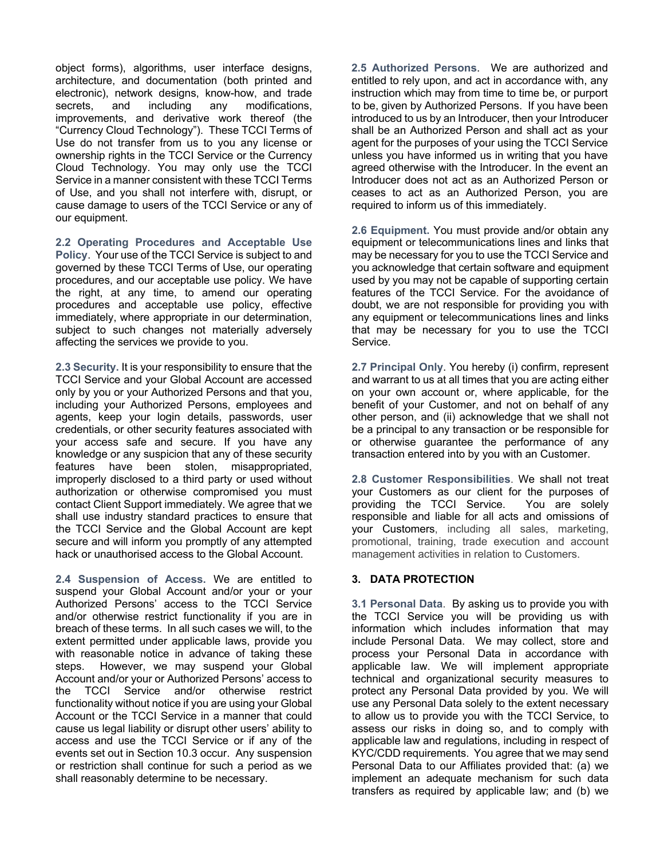object forms), algorithms, user interface designs, architecture, and documentation (both printed and electronic), network designs, know-how, and trade secrets, and including any modifications, improvements, and derivative work thereof (the "Currency Cloud Technology"). These TCCI Terms of Use do not transfer from us to you any license or ownership rights in the TCCI Service or the Currency Cloud Technology. You may only use the TCCI Service in a manner consistent with these TCCI Terms of Use, and you shall not interfere with, disrupt, or cause damage to users of the TCCI Service or any of our equipment.

**2.2 Operating Procedures and Acceptable Use Policy**. Your use of the TCCI Service is subject to and governed by these TCCI Terms of Use, our operating procedures, and our acceptable use policy. We have the right, at any time, to amend our operating procedures and acceptable use policy, effective immediately, where appropriate in our determination, subject to such changes not materially adversely affecting the services we provide to you.

**2.3 Security.** It is your responsibility to ensure that the TCCI Service and your Global Account are accessed only by you or your Authorized Persons and that you, including your Authorized Persons, employees and agents, keep your login details, passwords, user credentials, or other security features associated with your access safe and secure. If you have any knowledge or any suspicion that any of these security features have been stolen, misappropriated, improperly disclosed to a third party or used without authorization or otherwise compromised you must contact Client Support immediately. We agree that we shall use industry standard practices to ensure that the TCCI Service and the Global Account are kept secure and will inform you promptly of any attempted hack or unauthorised access to the Global Account.

**2.4 Suspension of Access.** We are entitled to suspend your Global Account and/or your or your Authorized Persons' access to the TCCI Service and/or otherwise restrict functionality if you are in breach of these terms. In all such cases we will, to the extent permitted under applicable laws, provide you with reasonable notice in advance of taking these steps. However, we may suspend your Global Account and/or your or Authorized Persons' access to the TCCI Service and/or otherwise restrict functionality without notice if you are using your Global Account or the TCCI Service in a manner that could cause us legal liability or disrupt other users' ability to access and use the TCCI Service or if any of the events set out in Section 10.3 occur. Any suspension or restriction shall continue for such a period as we shall reasonably determine to be necessary.

**2.5 Authorized Persons**. We are authorized and entitled to rely upon, and act in accordance with, any instruction which may from time to time be, or purport to be, given by Authorized Persons. If you have been introduced to us by an Introducer, then your Introducer shall be an Authorized Person and shall act as your agent for the purposes of your using the TCCI Service unless you have informed us in writing that you have agreed otherwise with the Introducer. In the event an Introducer does not act as an Authorized Person or ceases to act as an Authorized Person, you are required to inform us of this immediately.

**2.6 Equipment.** You must provide and/or obtain any equipment or telecommunications lines and links that may be necessary for you to use the TCCI Service and you acknowledge that certain software and equipment used by you may not be capable of supporting certain features of the TCCI Service. For the avoidance of doubt, we are not responsible for providing you with any equipment or telecommunications lines and links that may be necessary for you to use the TCCI Service.

**2.7 Principal Only**. You hereby (i) confirm, represent and warrant to us at all times that you are acting either on your own account or, where applicable, for the benefit of your Customer, and not on behalf of any other person, and (ii) acknowledge that we shall not be a principal to any transaction or be responsible for or otherwise guarantee the performance of any transaction entered into by you with an Customer.

**2.8 Customer Responsibilities**. We shall not treat your Customers as our client for the purposes of providing the TCCI Service. You are solely responsible and liable for all acts and omissions of your Customers, including all sales, marketing, promotional, training, trade execution and account management activities in relation to Customers.

## **3. DATA PROTECTION**

**3.1 Personal Data**. By asking us to provide you with the TCCI Service you will be providing us with information which includes information that may include Personal Data. We may collect, store and process your Personal Data in accordance with applicable law. We will implement appropriate technical and organizational security measures to protect any Personal Data provided by you. We will use any Personal Data solely to the extent necessary to allow us to provide you with the TCCI Service, to assess our risks in doing so, and to comply with applicable law and regulations, including in respect of KYC/CDD requirements. You agree that we may send Personal Data to our Affiliates provided that: (a) we implement an adequate mechanism for such data transfers as required by applicable law; and (b) we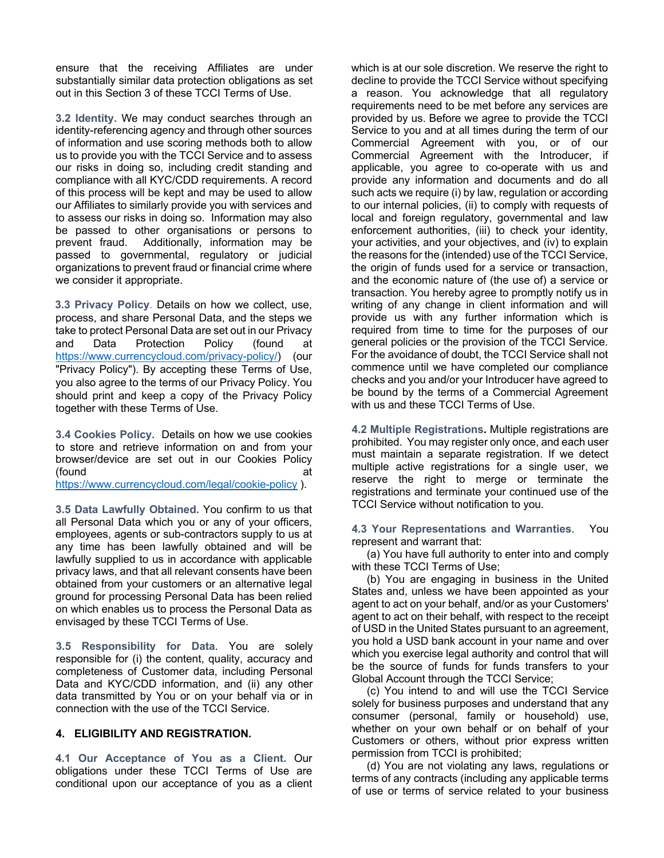ensure that the receiving Affiliates are under substantially similar data protection obligations as set out in this Section 3 of these TCCI Terms of Use.

**3.2 Identity.** We may conduct searches through an identity-referencing agency and through other sources of information and use scoring methods both to allow us to provide you with the TCCI Service and to assess our risks in doing so, including credit standing and compliance with all KYC/CDD requirements. A record of this process will be kept and may be used to allow our Affiliates to similarly provide you with services and to assess our risks in doing so. Information may also be passed to other organisations or persons to prevent fraud. Additionally, information may be passed to governmental, regulatory or judicial organizations to prevent fraud or financial crime where we consider it appropriate.

**3.3 Privacy Policy**. Details on how we collect, use, process, and share Personal Data, and the steps we take to protect Personal Data are set out in our Privacy and Data Protection Policy (found at https://www.currencycloud.com/privacy-policy/) (our "Privacy Policy"). By accepting these Terms of Use, you also agree to the terms of our Privacy Policy. You should print and keep a copy of the Privacy Policy together with these Terms of Use.

**3.4 Cookies Policy.** Details on how we use cookies to store and retrieve information on and from your browser/device are set out in our Cookies Policy (found at

https://www.currencycloud.com/legal/cookie-policy ).

**3.5 Data Lawfully Obtained.** You confirm to us that all Personal Data which you or any of your officers, employees, agents or sub-contractors supply to us at any time has been lawfully obtained and will be lawfully supplied to us in accordance with applicable privacy laws, and that all relevant consents have been obtained from your customers or an alternative legal ground for processing Personal Data has been relied on which enables us to process the Personal Data as envisaged by these TCCI Terms of Use.

**3.5 Responsibility for Data**. You are solely responsible for (i) the content, quality, accuracy and completeness of Customer data, including Personal Data and KYC/CDD information, and (ii) any other data transmitted by You or on your behalf via or in connection with the use of the TCCI Service.

## **4. ELIGIBILITY AND REGISTRATION.**

**4.1 Our Acceptance of You as a Client.** Our obligations under these TCCI Terms of Use are conditional upon our acceptance of you as a client which is at our sole discretion. We reserve the right to decline to provide the TCCI Service without specifying a reason. You acknowledge that all regulatory requirements need to be met before any services are provided by us. Before we agree to provide the TCCI Service to you and at all times during the term of our Commercial Agreement with you, or of our Commercial Agreement with the Introducer, if applicable, you agree to co-operate with us and provide any information and documents and do all such acts we require (i) by law, regulation or according to our internal policies, (ii) to comply with requests of local and foreign regulatory, governmental and law enforcement authorities, (iii) to check your identity, your activities, and your objectives, and (iv) to explain the reasons for the (intended) use of the TCCI Service, the origin of funds used for a service or transaction, and the economic nature of (the use of) a service or transaction. You hereby agree to promptly notify us in writing of any change in client information and will provide us with any further information which is required from time to time for the purposes of our general policies or the provision of the TCCI Service. For the avoidance of doubt, the TCCI Service shall not commence until we have completed our compliance checks and you and/or your Introducer have agreed to be bound by the terms of a Commercial Agreement with us and these TCCI Terms of Use.

**4.2 Multiple Registrations.** Multiple registrations are prohibited. You may register only once, and each user must maintain a separate registration. If we detect multiple active registrations for a single user, we reserve the right to merge or terminate the registrations and terminate your continued use of the TCCI Service without notification to you.

**4.3 Your Representations and Warranties**. You represent and warrant that:

 (a) You have full authority to enter into and comply with these TCCI Terms of Use;

 (b) You are engaging in business in the United States and, unless we have been appointed as your agent to act on your behalf, and/or as your Customers' agent to act on their behalf, with respect to the receipt of USD in the United States pursuant to an agreement, you hold a USD bank account in your name and over which you exercise legal authority and control that will be the source of funds for funds transfers to your Global Account through the TCCI Service;

 (c) You intend to and will use the TCCI Service solely for business purposes and understand that any consumer (personal, family or household) use, whether on your own behalf or on behalf of your Customers or others, without prior express written permission from TCCI is prohibited;

 (d) You are not violating any laws, regulations or terms of any contracts (including any applicable terms of use or terms of service related to your business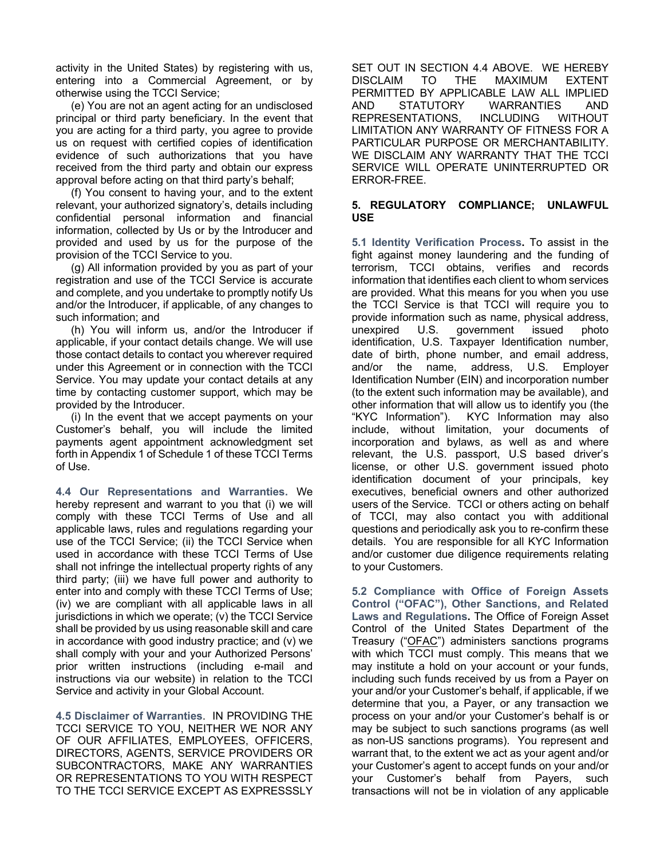activity in the United States) by registering with us, entering into a Commercial Agreement, or by otherwise using the TCCI Service;

 (e) You are not an agent acting for an undisclosed principal or third party beneficiary. In the event that you are acting for a third party, you agree to provide us on request with certified copies of identification evidence of such authorizations that you have received from the third party and obtain our express approval before acting on that third party's behalf;

 (f) You consent to having your, and to the extent relevant, your authorized signatory's, details including confidential personal information and financial information, collected by Us or by the Introducer and provided and used by us for the purpose of the provision of the TCCI Service to you.

 (g) All information provided by you as part of your registration and use of the TCCI Service is accurate and complete, and you undertake to promptly notify Us and/or the Introducer, if applicable, of any changes to such information; and

 (h) You will inform us, and/or the Introducer if applicable, if your contact details change. We will use those contact details to contact you wherever required under this Agreement or in connection with the TCCI Service. You may update your contact details at any time by contacting customer support, which may be provided by the Introducer.

 (i) In the event that we accept payments on your Customer's behalf, you will include the limited payments agent appointment acknowledgment set forth in Appendix 1 of Schedule 1 of these TCCI Terms of Use.

**4.4 Our Representations and Warranties.** We hereby represent and warrant to you that (i) we will comply with these TCCI Terms of Use and all applicable laws, rules and regulations regarding your use of the TCCI Service; (ii) the TCCI Service when used in accordance with these TCCI Terms of Use shall not infringe the intellectual property rights of any third party; (iii) we have full power and authority to enter into and comply with these TCCI Terms of Use; (iv) we are compliant with all applicable laws in all jurisdictions in which we operate; (v) the TCCI Service shall be provided by us using reasonable skill and care in accordance with good industry practice; and (v) we shall comply with your and your Authorized Persons' prior written instructions (including e-mail and instructions via our website) in relation to the TCCI Service and activity in your Global Account.

**4.5 Disclaimer of Warranties**. IN PROVIDING THE TCCI SERVICE TO YOU, NEITHER WE NOR ANY OF OUR AFFILIATES, EMPLOYEES, OFFICERS, DIRECTORS, AGENTS, SERVICE PROVIDERS OR SUBCONTRACTORS, MAKE ANY WARRANTIES OR REPRESENTATIONS TO YOU WITH RESPECT TO THE TCCI SERVICE EXCEPT AS EXPRESSSLY SET OUT IN SECTION 4.4 ABOVE. WE HEREBY DISCLAIM TO THE MAXIMUM EXTENT PERMITTED BY APPLICABLE LAW ALL IMPLIED AND STATUTORY WARRANTIES AND REPRESENTATIONS, INCLUDING WITHOUT LIMITATION ANY WARRANTY OF FITNESS FOR A PARTICULAR PURPOSE OR MERCHANTABILITY. WE DISCLAIM ANY WARRANTY THAT THE TCCI SERVICE WILL OPERATE UNINTERRUPTED OR ERROR-FREE.

#### **5. REGULATORY COMPLIANCE; UNLAWFUL USE**

**5.1 Identity Verification Process.** To assist in the fight against money laundering and the funding of terrorism, TCCI obtains, verifies and records information that identifies each client to whom services are provided. What this means for you when you use the TCCI Service is that TCCI will require you to provide information such as name, physical address, unexpired U.S. government issued photo identification, U.S. Taxpayer Identification number, date of birth, phone number, and email address, and/or the name, address, U.S. Employer Identification Number (EIN) and incorporation number (to the extent such information may be available), and other information that will allow us to identify you (the "KYC Information"). KYC Information may also include, without limitation, your documents of incorporation and bylaws, as well as and where relevant, the U.S. passport, U.S based driver's license, or other U.S. government issued photo identification document of your principals, key executives, beneficial owners and other authorized users of the Service. TCCI or others acting on behalf of TCCI, may also contact you with additional questions and periodically ask you to re-confirm these details. You are responsible for all KYC Information and/or customer due diligence requirements relating to your Customers.

**5.2 Compliance with Office of Foreign Assets Control ("OFAC"), Other Sanctions, and Related Laws and Regulations.** The Office of Foreign Asset Control of the United States Department of the Treasury ("OFAC") administers sanctions programs with which TCCI must comply. This means that we may institute a hold on your account or your funds, including such funds received by us from a Payer on your and/or your Customer's behalf, if applicable, if we determine that you, a Payer, or any transaction we process on your and/or your Customer's behalf is or may be subject to such sanctions programs (as well as non-US sanctions programs). You represent and warrant that, to the extent we act as your agent and/or your Customer's agent to accept funds on your and/or your Customer's behalf from Payers, such transactions will not be in violation of any applicable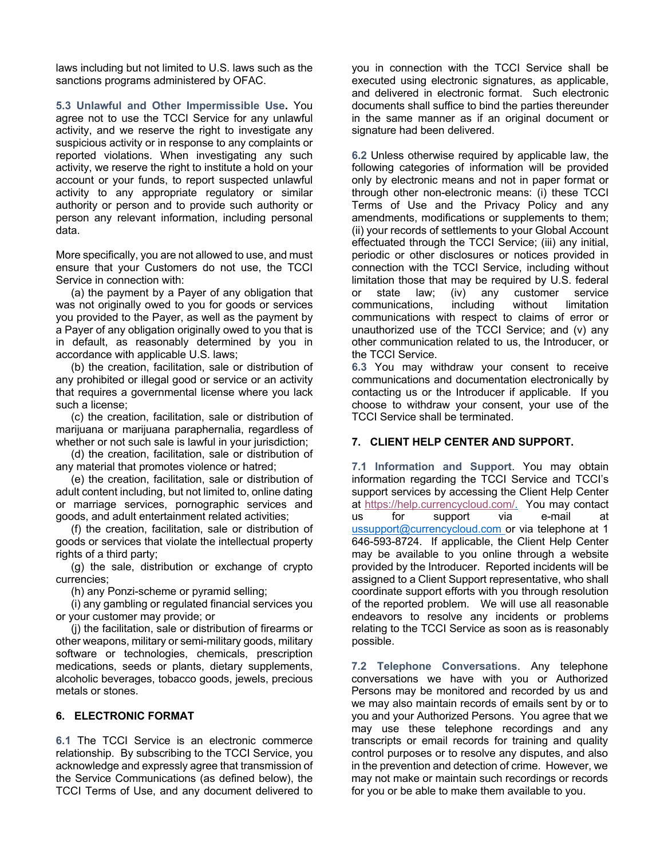laws including but not limited to U.S. laws such as the sanctions programs administered by OFAC.

**5.3 Unlawful and Other Impermissible Use.** You agree not to use the TCCI Service for any unlawful activity, and we reserve the right to investigate any suspicious activity or in response to any complaints or reported violations. When investigating any such activity, we reserve the right to institute a hold on your account or your funds, to report suspected unlawful activity to any appropriate regulatory or similar authority or person and to provide such authority or person any relevant information, including personal data.

More specifically, you are not allowed to use, and must ensure that your Customers do not use, the TCCI Service in connection with:

 (a) the payment by a Payer of any obligation that was not originally owed to you for goods or services you provided to the Payer, as well as the payment by a Payer of any obligation originally owed to you that is in default, as reasonably determined by you in accordance with applicable U.S. laws;

 (b) the creation, facilitation, sale or distribution of any prohibited or illegal good or service or an activity that requires a governmental license where you lack such a license;

 (c) the creation, facilitation, sale or distribution of marijuana or marijuana paraphernalia, regardless of whether or not such sale is lawful in your jurisdiction;

 (d) the creation, facilitation, sale or distribution of any material that promotes violence or hatred;

 (e) the creation, facilitation, sale or distribution of adult content including, but not limited to, online dating or marriage services, pornographic services and goods, and adult entertainment related activities;

 (f) the creation, facilitation, sale or distribution of goods or services that violate the intellectual property rights of a third party;

 (g) the sale, distribution or exchange of crypto currencies;

(h) any Ponzi-scheme or pyramid selling;

 (i) any gambling or regulated financial services you or your customer may provide; or

 (j) the facilitation, sale or distribution of firearms or other weapons, military or semi-military goods, military software or technologies, chemicals, prescription medications, seeds or plants, dietary supplements, alcoholic beverages, tobacco goods, jewels, precious metals or stones.

### **6. ELECTRONIC FORMAT**

**6.1** The TCCI Service is an electronic commerce relationship. By subscribing to the TCCI Service, you acknowledge and expressly agree that transmission of the Service Communications (as defined below), the TCCI Terms of Use, and any document delivered to

you in connection with the TCCI Service shall be executed using electronic signatures, as applicable, and delivered in electronic format. Such electronic documents shall suffice to bind the parties thereunder in the same manner as if an original document or signature had been delivered.

**6.2** Unless otherwise required by applicable law, the following categories of information will be provided only by electronic means and not in paper format or through other non-electronic means: (i) these TCCI Terms of Use and the Privacy Policy and any amendments, modifications or supplements to them; (ii) your records of settlements to your Global Account effectuated through the TCCI Service; (iii) any initial, periodic or other disclosures or notices provided in connection with the TCCI Service, including without limitation those that may be required by U.S. federal or state law; (iv) any customer service communications, including without limitation communications with respect to claims of error or unauthorized use of the TCCI Service; and (v) any other communication related to us, the Introducer, or the TCCI Service.

**6.3** You may withdraw your consent to receive communications and documentation electronically by contacting us or the Introducer if applicable. If you choose to withdraw your consent, your use of the TCCI Service shall be terminated.

## **7. CLIENT HELP CENTER AND SUPPORT.**

**7.1 Information and Support**. You may obtain information regarding the TCCI Service and TCCI's support services by accessing the Client Help Center at https://help.currencycloud.com/. You may contact us for support via e-mail at ussupport@currencycloud.com or via telephone at 1 646-593-8724. If applicable, the Client Help Center may be available to you online through a website provided by the Introducer. Reported incidents will be assigned to a Client Support representative, who shall coordinate support efforts with you through resolution of the reported problem. We will use all reasonable endeavors to resolve any incidents or problems relating to the TCCI Service as soon as is reasonably possible.

**7.2 Telephone Conversations**. Any telephone conversations we have with you or Authorized Persons may be monitored and recorded by us and we may also maintain records of emails sent by or to you and your Authorized Persons. You agree that we may use these telephone recordings and any transcripts or email records for training and quality control purposes or to resolve any disputes, and also in the prevention and detection of crime. However, we may not make or maintain such recordings or records for you or be able to make them available to you.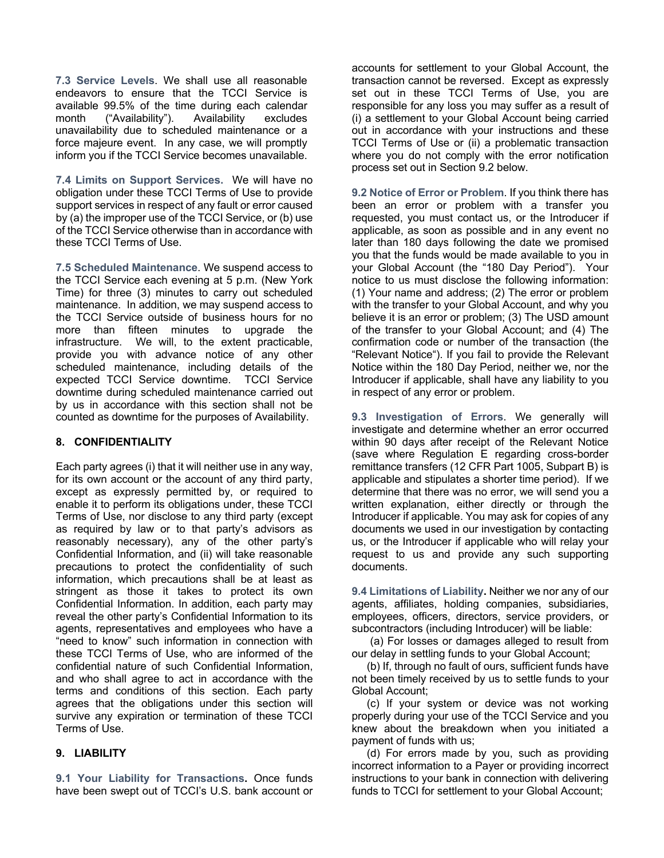**7.3 Service Levels**. We shall use all reasonable endeavors to ensure that the TCCI Service is available 99.5% of the time during each calendar month ("Availability"). Availability excludes unavailability due to scheduled maintenance or a force majeure event. In any case, we will promptly inform you if the TCCI Service becomes unavailable.

**7.4 Limits on Support Services.** We will have no obligation under these TCCI Terms of Use to provide support services in respect of any fault or error caused by (a) the improper use of the TCCI Service, or (b) use of the TCCI Service otherwise than in accordance with these TCCI Terms of Use.

**7.5 Scheduled Maintenance**. We suspend access to the TCCI Service each evening at 5 p.m. (New York Time) for three (3) minutes to carry out scheduled maintenance. In addition, we may suspend access to the TCCI Service outside of business hours for no more than fifteen minutes to upgrade the infrastructure. We will, to the extent practicable, provide you with advance notice of any other scheduled maintenance, including details of the expected TCCI Service downtime. TCCI Service downtime during scheduled maintenance carried out by us in accordance with this section shall not be counted as downtime for the purposes of Availability.

#### **8. CONFIDENTIALITY**

Each party agrees (i) that it will neither use in any way, for its own account or the account of any third party, except as expressly permitted by, or required to enable it to perform its obligations under, these TCCI Terms of Use, nor disclose to any third party (except as required by law or to that party's advisors as reasonably necessary), any of the other party's Confidential Information, and (ii) will take reasonable precautions to protect the confidentiality of such information, which precautions shall be at least as stringent as those it takes to protect its own Confidential Information. In addition, each party may reveal the other party's Confidential Information to its agents, representatives and employees who have a "need to know" such information in connection with these TCCI Terms of Use, who are informed of the confidential nature of such Confidential Information, and who shall agree to act in accordance with the terms and conditions of this section. Each party agrees that the obligations under this section will survive any expiration or termination of these TCCI Terms of Use.

## **9. LIABILITY**

**9.1 Your Liability for Transactions.** Once funds have been swept out of TCCI's U.S. bank account or accounts for settlement to your Global Account, the transaction cannot be reversed. Except as expressly set out in these TCCI Terms of Use, you are responsible for any loss you may suffer as a result of (i) a settlement to your Global Account being carried out in accordance with your instructions and these TCCI Terms of Use or (ii) a problematic transaction where you do not comply with the error notification process set out in Section 9.2 below.

**9.2 Notice of Error or Problem**. If you think there has been an error or problem with a transfer you requested, you must contact us, or the Introducer if applicable, as soon as possible and in any event no later than 180 days following the date we promised you that the funds would be made available to you in your Global Account (the "180 Day Period"). Your notice to us must disclose the following information: (1) Your name and address; (2) The error or problem with the transfer to your Global Account, and why you believe it is an error or problem; (3) The USD amount of the transfer to your Global Account; and (4) The confirmation code or number of the transaction (the "Relevant Notice"). If you fail to provide the Relevant Notice within the 180 Day Period, neither we, nor the Introducer if applicable, shall have any liability to you in respect of any error or problem.

**9.3 Investigation of Errors**. We generally will investigate and determine whether an error occurred within 90 days after receipt of the Relevant Notice (save where Regulation E regarding cross-border remittance transfers (12 CFR Part 1005, Subpart B) is applicable and stipulates a shorter time period). If we determine that there was no error, we will send you a written explanation, either directly or through the Introducer if applicable. You may ask for copies of any documents we used in our investigation by contacting us, or the Introducer if applicable who will relay your request to us and provide any such supporting documents.

**9.4 Limitations of Liability.** Neither we nor any of our agents, affiliates, holding companies, subsidiaries, employees, officers, directors, service providers, or subcontractors (including Introducer) will be liable:

(a) For losses or damages alleged to result from our delay in settling funds to your Global Account;

 (b) If, through no fault of ours, sufficient funds have not been timely received by us to settle funds to your Global Account;

 (c) If your system or device was not working properly during your use of the TCCI Service and you knew about the breakdown when you initiated a payment of funds with us;

 (d) For errors made by you, such as providing incorrect information to a Payer or providing incorrect instructions to your bank in connection with delivering funds to TCCI for settlement to your Global Account;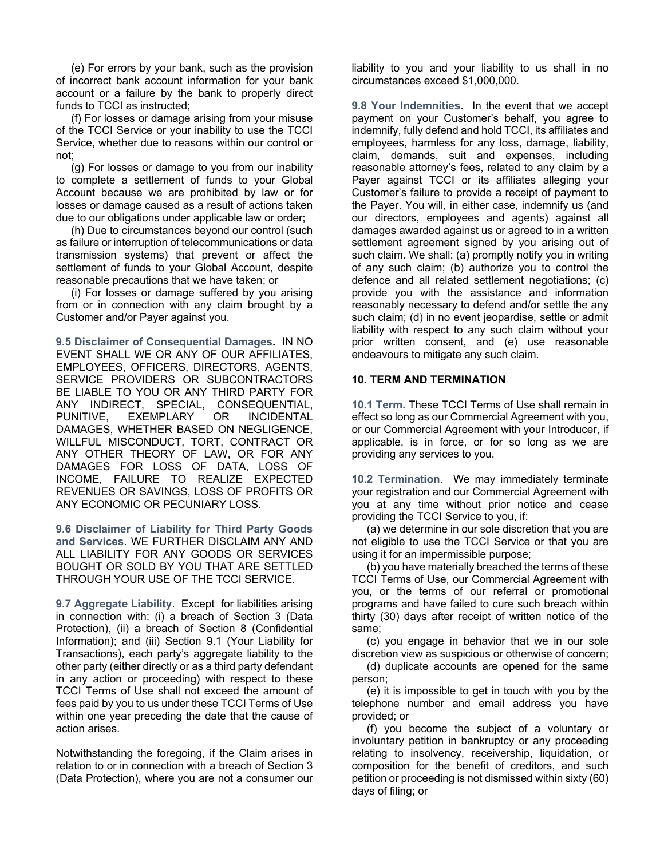(e) For errors by your bank, such as the provision of incorrect bank account information for your bank account or a failure by the bank to properly direct funds to TCCI as instructed;

 (f) For losses or damage arising from your misuse of the TCCI Service or your inability to use the TCCI Service, whether due to reasons within our control or not;

 (g) For losses or damage to you from our inability to complete a settlement of funds to your Global Account because we are prohibited by law or for losses or damage caused as a result of actions taken due to our obligations under applicable law or order;

 (h) Due to circumstances beyond our control (such as failure or interruption of telecommunications or data transmission systems) that prevent or affect the settlement of funds to your Global Account, despite reasonable precautions that we have taken; or

 (i) For losses or damage suffered by you arising from or in connection with any claim brought by a Customer and/or Payer against you.

**9.5 Disclaimer of Consequential Damages.** IN NO EVENT SHALL WE OR ANY OF OUR AFFILIATES, EMPLOYEES, OFFICERS, DIRECTORS, AGENTS, SERVICE PROVIDERS OR SUBCONTRACTORS BE LIABLE TO YOU OR ANY THIRD PARTY FOR ANY INDIRECT, SPECIAL, CONSEQUENTIAL, PUNITIVE, EXEMPLARY OR INCIDENTAL DAMAGES, WHETHER BASED ON NEGLIGENCE, WILLFUL MISCONDUCT, TORT, CONTRACT OR ANY OTHER THEORY OF LAW, OR FOR ANY DAMAGES FOR LOSS OF DATA, LOSS OF INCOME, FAILURE TO REALIZE EXPECTED REVENUES OR SAVINGS, LOSS OF PROFITS OR ANY ECONOMIC OR PECUNIARY LOSS.

**9.6 Disclaimer of Liability for Third Party Goods and Services**. WE FURTHER DISCLAIM ANY AND ALL LIABILITY FOR ANY GOODS OR SERVICES BOUGHT OR SOLD BY YOU THAT ARE SETTLED THROUGH YOUR USE OF THE TCCI SERVICE.

**9.7 Aggregate Liability**. Except for liabilities arising in connection with: (i) a breach of Section 3 (Data Protection), (ii) a breach of Section 8 (Confidential Information); and (iii) Section 9.1 (Your Liability for Transactions), each party's aggregate liability to the other party (either directly or as a third party defendant in any action or proceeding) with respect to these TCCI Terms of Use shall not exceed the amount of fees paid by you to us under these TCCI Terms of Use within one year preceding the date that the cause of action arises.

Notwithstanding the foregoing, if the Claim arises in relation to or in connection with a breach of Section 3 (Data Protection), where you are not a consumer our

liability to you and your liability to us shall in no circumstances exceed \$1,000,000.

**9.8 Your Indemnities**. In the event that we accept payment on your Customer's behalf, you agree to indemnify, fully defend and hold TCCI, its affiliates and employees, harmless for any loss, damage, liability, claim, demands, suit and expenses, including reasonable attorney's fees, related to any claim by a Payer against TCCI or its affiliates alleging your Customer's failure to provide a receipt of payment to the Payer. You will, in either case, indemnify us (and our directors, employees and agents) against all damages awarded against us or agreed to in a written settlement agreement signed by you arising out of such claim. We shall: (a) promptly notify you in writing of any such claim; (b) authorize you to control the defence and all related settlement negotiations; (c) provide you with the assistance and information reasonably necessary to defend and/or settle the any such claim; (d) in no event jeopardise, settle or admit liability with respect to any such claim without your prior written consent, and (e) use reasonable endeavours to mitigate any such claim.

#### **10. TERM AND TERMINATION**

**10.1 Term.** These TCCI Terms of Use shall remain in effect so long as our Commercial Agreement with you, or our Commercial Agreement with your Introducer, if applicable, is in force, or for so long as we are providing any services to you.

**10.2 Termination**. We may immediately terminate your registration and our Commercial Agreement with you at any time without prior notice and cease providing the TCCI Service to you, if:

 (a) we determine in our sole discretion that you are not eligible to use the TCCI Service or that you are using it for an impermissible purpose;

 (b) you have materially breached the terms of these TCCI Terms of Use, our Commercial Agreement with you, or the terms of our referral or promotional programs and have failed to cure such breach within thirty (30) days after receipt of written notice of the same;

 (c) you engage in behavior that we in our sole discretion view as suspicious or otherwise of concern;

 (d) duplicate accounts are opened for the same person;

 (e) it is impossible to get in touch with you by the telephone number and email address you have provided; or

 (f) you become the subject of a voluntary or involuntary petition in bankruptcy or any proceeding relating to insolvency, receivership, liquidation, or composition for the benefit of creditors, and such petition or proceeding is not dismissed within sixty (60) days of filing; or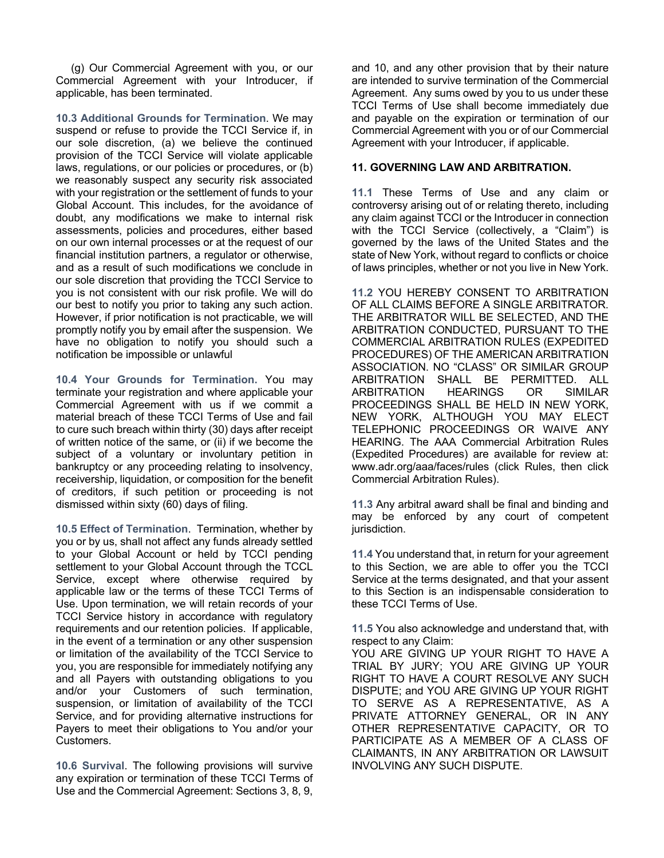(g) Our Commercial Agreement with you, or our Commercial Agreement with your Introducer, if applicable, has been terminated.

**10.3 Additional Grounds for Termination**. We may suspend or refuse to provide the TCCI Service if, in our sole discretion, (a) we believe the continued provision of the TCCI Service will violate applicable laws, regulations, or our policies or procedures, or (b) we reasonably suspect any security risk associated with your registration or the settlement of funds to your Global Account. This includes, for the avoidance of doubt, any modifications we make to internal risk assessments, policies and procedures, either based on our own internal processes or at the request of our financial institution partners, a regulator or otherwise, and as a result of such modifications we conclude in our sole discretion that providing the TCCI Service to you is not consistent with our risk profile. We will do our best to notify you prior to taking any such action. However, if prior notification is not practicable, we will promptly notify you by email after the suspension. We have no obligation to notify you should such a notification be impossible or unlawful

**10.4 Your Grounds for Termination.** You may terminate your registration and where applicable your Commercial Agreement with us if we commit a material breach of these TCCI Terms of Use and fail to cure such breach within thirty (30) days after receipt of written notice of the same, or (ii) if we become the subject of a voluntary or involuntary petition in bankruptcy or any proceeding relating to insolvency, receivership, liquidation, or composition for the benefit of creditors, if such petition or proceeding is not dismissed within sixty (60) days of filing.

**10.5 Effect of Termination**. Termination, whether by you or by us, shall not affect any funds already settled to your Global Account or held by TCCI pending settlement to your Global Account through the TCCL Service, except where otherwise required by applicable law or the terms of these TCCI Terms of Use. Upon termination, we will retain records of your TCCI Service history in accordance with regulatory requirements and our retention policies. If applicable, in the event of a termination or any other suspension or limitation of the availability of the TCCI Service to you, you are responsible for immediately notifying any and all Payers with outstanding obligations to you and/or your Customers of such termination, suspension, or limitation of availability of the TCCI Service, and for providing alternative instructions for Payers to meet their obligations to You and/or your Customers.

**10.6 Survival**. The following provisions will survive any expiration or termination of these TCCI Terms of Use and the Commercial Agreement: Sections 3, 8, 9,

and 10, and any other provision that by their nature are intended to survive termination of the Commercial Agreement. Any sums owed by you to us under these TCCI Terms of Use shall become immediately due and payable on the expiration or termination of our Commercial Agreement with you or of our Commercial Agreement with your Introducer, if applicable.

## **11. GOVERNING LAW AND ARBITRATION.**

**11.1** These Terms of Use and any claim or controversy arising out of or relating thereto, including any claim against TCCI or the Introducer in connection with the TCCI Service (collectively, a "Claim") is governed by the laws of the United States and the state of New York, without regard to conflicts or choice of laws principles, whether or not you live in New York.

**11.2** YOU HEREBY CONSENT TO ARBITRATION OF ALL CLAIMS BEFORE A SINGLE ARBITRATOR. THE ARBITRATOR WILL BE SELECTED, AND THE ARBITRATION CONDUCTED, PURSUANT TO THE COMMERCIAL ARBITRATION RULES (EXPEDITED PROCEDURES) OF THE AMERICAN ARBITRATION ASSOCIATION. NO "CLASS" OR SIMILAR GROUP ARBITRATION SHALL BE PERMITTED. ALL ARBITRATION HEARINGS OR SIMILAR PROCEEDINGS SHALL BE HELD IN NEW YORK, NEW YORK, ALTHOUGH YOU MAY ELECT TELEPHONIC PROCEEDINGS OR WAIVE ANY HEARING. The AAA Commercial Arbitration Rules (Expedited Procedures) are available for review at: www.adr.org/aaa/faces/rules (click Rules, then click Commercial Arbitration Rules).

**11.3** Any arbitral award shall be final and binding and may be enforced by any court of competent jurisdiction.

**11.4** You understand that, in return for your agreement to this Section, we are able to offer you the TCCI Service at the terms designated, and that your assent to this Section is an indispensable consideration to these TCCI Terms of Use.

**11.5** You also acknowledge and understand that, with respect to any Claim:

YOU ARE GIVING UP YOUR RIGHT TO HAVE A TRIAL BY JURY; YOU ARE GIVING UP YOUR RIGHT TO HAVE A COURT RESOLVE ANY SUCH DISPUTE; and YOU ARE GIVING UP YOUR RIGHT TO SERVE AS A REPRESENTATIVE, AS A PRIVATE ATTORNEY GENERAL, OR IN ANY OTHER REPRESENTATIVE CAPACITY, OR TO PARTICIPATE AS A MEMBER OF A CLASS OF CLAIMANTS, IN ANY ARBITRATION OR LAWSUIT INVOLVING ANY SUCH DISPUTE.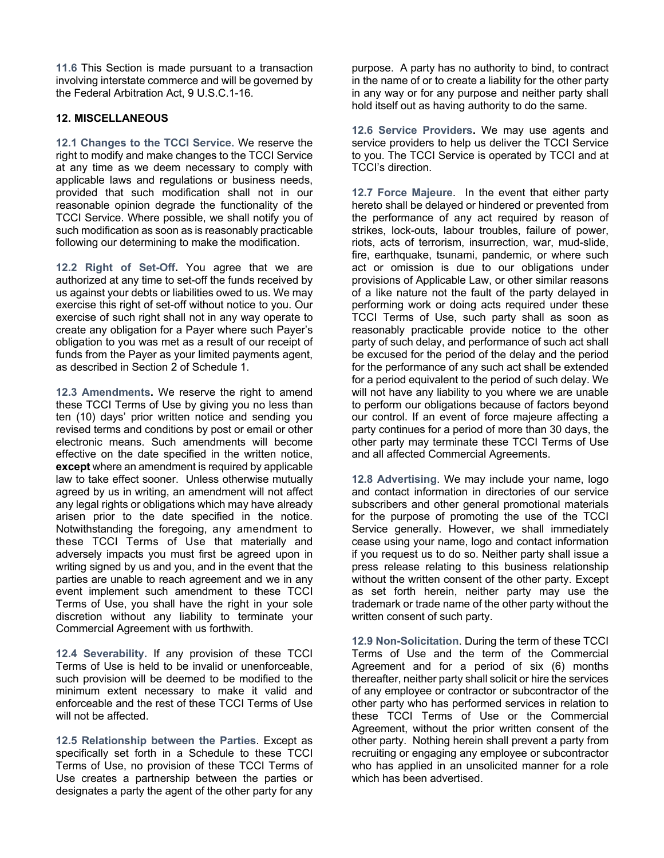**11.6** This Section is made pursuant to a transaction involving interstate commerce and will be governed by the Federal Arbitration Act, 9 U.S.C.1-16.

## **12. MISCELLANEOUS**

**12.1 Changes to the TCCI Service.** We reserve the right to modify and make changes to the TCCI Service at any time as we deem necessary to comply with applicable laws and regulations or business needs, provided that such modification shall not in our reasonable opinion degrade the functionality of the TCCI Service. Where possible, we shall notify you of such modification as soon as is reasonably practicable following our determining to make the modification.

**12.2 Right of Set-Off.** You agree that we are authorized at any time to set-off the funds received by us against your debts or liabilities owed to us. We may exercise this right of set-off without notice to you. Our exercise of such right shall not in any way operate to create any obligation for a Payer where such Payer's obligation to you was met as a result of our receipt of funds from the Payer as your limited payments agent, as described in Section 2 of Schedule 1.

**12.3 Amendments.** We reserve the right to amend these TCCI Terms of Use by giving you no less than ten (10) days' prior written notice and sending you revised terms and conditions by post or email or other electronic means. Such amendments will become effective on the date specified in the written notice, **except** where an amendment is required by applicable law to take effect sooner. Unless otherwise mutually agreed by us in writing, an amendment will not affect any legal rights or obligations which may have already arisen prior to the date specified in the notice. Notwithstanding the foregoing, any amendment to these TCCI Terms of Use that materially and adversely impacts you must first be agreed upon in writing signed by us and you, and in the event that the parties are unable to reach agreement and we in any event implement such amendment to these TCCI Terms of Use, you shall have the right in your sole discretion without any liability to terminate your Commercial Agreement with us forthwith.

**12.4 Severability.** If any provision of these TCCI Terms of Use is held to be invalid or unenforceable, such provision will be deemed to be modified to the minimum extent necessary to make it valid and enforceable and the rest of these TCCI Terms of Use will not be affected.

**12.5 Relationship between the Parties**. Except as specifically set forth in a Schedule to these TCCI Terms of Use, no provision of these TCCI Terms of Use creates a partnership between the parties or designates a party the agent of the other party for any purpose. A party has no authority to bind, to contract in the name of or to create a liability for the other party in any way or for any purpose and neither party shall hold itself out as having authority to do the same.

**12.6 Service Providers.** We may use agents and service providers to help us deliver the TCCI Service to you. The TCCI Service is operated by TCCI and at TCCI's direction.

**12.7 Force Majeure**. In the event that either party hereto shall be delayed or hindered or prevented from the performance of any act required by reason of strikes, lock-outs, labour troubles, failure of power, riots, acts of terrorism, insurrection, war, mud-slide, fire, earthquake, tsunami, pandemic, or where such act or omission is due to our obligations under provisions of Applicable Law, or other similar reasons of a like nature not the fault of the party delayed in performing work or doing acts required under these TCCI Terms of Use, such party shall as soon as reasonably practicable provide notice to the other party of such delay, and performance of such act shall be excused for the period of the delay and the period for the performance of any such act shall be extended for a period equivalent to the period of such delay. We will not have any liability to you where we are unable to perform our obligations because of factors beyond our control. If an event of force majeure affecting a party continues for a period of more than 30 days, the other party may terminate these TCCI Terms of Use and all affected Commercial Agreements.

**12.8 Advertising**. We may include your name, logo and contact information in directories of our service subscribers and other general promotional materials for the purpose of promoting the use of the TCCI Service generally. However, we shall immediately cease using your name, logo and contact information if you request us to do so. Neither party shall issue a press release relating to this business relationship without the written consent of the other party. Except as set forth herein, neither party may use the trademark or trade name of the other party without the written consent of such party.

**12.9 Non-Solicitation**. During the term of these TCCI Terms of Use and the term of the Commercial Agreement and for a period of six (6) months thereafter, neither party shall solicit or hire the services of any employee or contractor or subcontractor of the other party who has performed services in relation to these TCCI Terms of Use or the Commercial Agreement, without the prior written consent of the other party. Nothing herein shall prevent a party from recruiting or engaging any employee or subcontractor who has applied in an unsolicited manner for a role which has been advertised.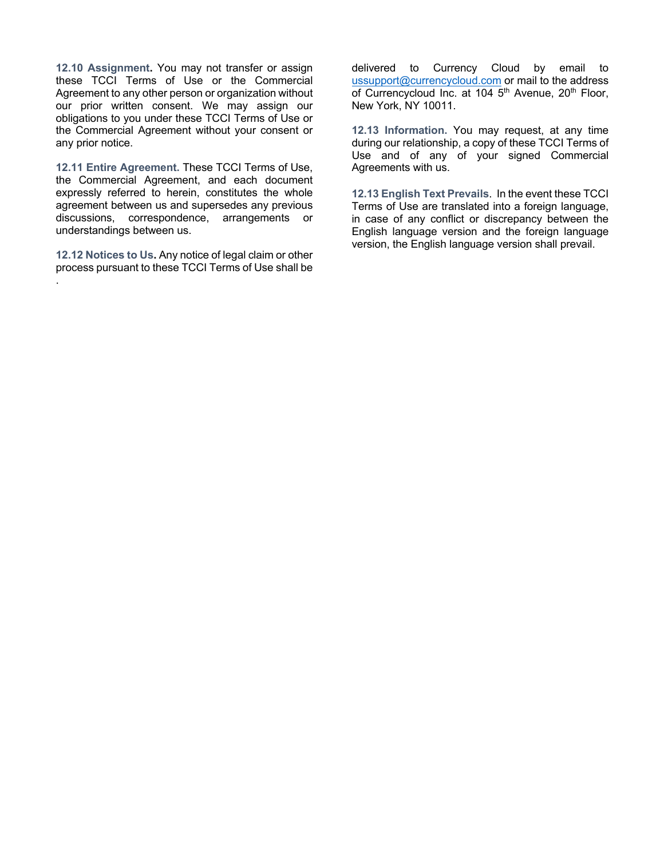**12.10 Assignment.** You may not transfer or assign these TCCI Terms of Use or the Commercial Agreement to any other person or organization without our prior written consent. We may assign our obligations to you under these TCCI Terms of Use or the Commercial Agreement without your consent or any prior notice.

**12.11 Entire Agreement.** These TCCI Terms of Use, the Commercial Agreement, and each document expressly referred to herein, constitutes the whole agreement between us and supersedes any previous discussions, correspondence, arrangements or understandings between us.

**12.12 Notices to Us.** Any notice of legal claim or other process pursuant to these TCCI Terms of Use shall be

.

delivered to Currency Cloud by email to ussupport@currencycloud.com or mail to the address of Currencycloud Inc. at 104 5<sup>th</sup> Avenue, 20<sup>th</sup> Floor, New York, NY 10011.

**12.13 Information.** You may request, at any time during our relationship, a copy of these TCCI Terms of Use and of any of your signed Commercial Agreements with us.

**12.13 English Text Prevails**. In the event these TCCI Terms of Use are translated into a foreign language, in case of any conflict or discrepancy between the English language version and the foreign language version, the English language version shall prevail.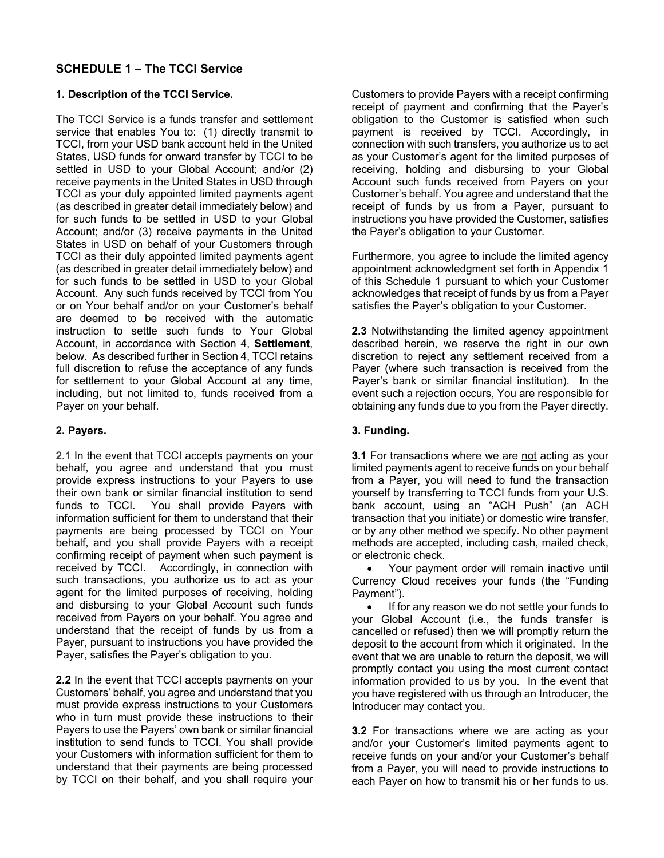## **SCHEDULE 1 – The TCCI Service**

## **1. Description of the TCCI Service.**

The TCCI Service is a funds transfer and settlement service that enables You to: (1) directly transmit to TCCI, from your USD bank account held in the United States, USD funds for onward transfer by TCCI to be settled in USD to your Global Account; and/or (2) receive payments in the United States in USD through TCCI as your duly appointed limited payments agent (as described in greater detail immediately below) and for such funds to be settled in USD to your Global Account; and/or (3) receive payments in the United States in USD on behalf of your Customers through TCCI as their duly appointed limited payments agent (as described in greater detail immediately below) and for such funds to be settled in USD to your Global Account. Any such funds received by TCCI from You or on Your behalf and/or on your Customer's behalf are deemed to be received with the automatic instruction to settle such funds to Your Global Account, in accordance with Section 4, **Settlement**, below. As described further in Section 4, TCCI retains full discretion to refuse the acceptance of any funds for settlement to your Global Account at any time, including, but not limited to, funds received from a Payer on your behalf.

## **2. Payers.**

**2.1** In the event that TCCI accepts payments on your behalf, you agree and understand that you must provide express instructions to your Payers to use their own bank or similar financial institution to send funds to TCCI. You shall provide Payers with information sufficient for them to understand that their payments are being processed by TCCI on Your behalf, and you shall provide Payers with a receipt confirming receipt of payment when such payment is received by TCCI. Accordingly, in connection with such transactions, you authorize us to act as your agent for the limited purposes of receiving, holding and disbursing to your Global Account such funds received from Payers on your behalf. You agree and understand that the receipt of funds by us from a Payer, pursuant to instructions you have provided the Payer, satisfies the Payer's obligation to you.

**2.2** In the event that TCCI accepts payments on your Customers' behalf, you agree and understand that you must provide express instructions to your Customers who in turn must provide these instructions to their Payers to use the Payers' own bank or similar financial institution to send funds to TCCI. You shall provide your Customers with information sufficient for them to understand that their payments are being processed by TCCI on their behalf, and you shall require your

Customers to provide Payers with a receipt confirming receipt of payment and confirming that the Payer's obligation to the Customer is satisfied when such payment is received by TCCI. Accordingly, in connection with such transfers, you authorize us to act as your Customer's agent for the limited purposes of receiving, holding and disbursing to your Global Account such funds received from Payers on your Customer's behalf. You agree and understand that the receipt of funds by us from a Payer, pursuant to instructions you have provided the Customer, satisfies the Payer's obligation to your Customer.

Furthermore, you agree to include the limited agency appointment acknowledgment set forth in Appendix 1 of this Schedule 1 pursuant to which your Customer acknowledges that receipt of funds by us from a Payer satisfies the Payer's obligation to your Customer.

**2.3** Notwithstanding the limited agency appointment described herein, we reserve the right in our own discretion to reject any settlement received from a Payer (where such transaction is received from the Payer's bank or similar financial institution). In the event such a rejection occurs, You are responsible for obtaining any funds due to you from the Payer directly.

## **3. Funding.**

**3.1** For transactions where we are not acting as your limited payments agent to receive funds on your behalf from a Payer, you will need to fund the transaction yourself by transferring to TCCI funds from your U.S. bank account, using an "ACH Push" (an ACH transaction that you initiate) or domestic wire transfer, or by any other method we specify. No other payment methods are accepted, including cash, mailed check, or electronic check.

• Your payment order will remain inactive until Currency Cloud receives your funds (the "Funding Payment").

If for any reason we do not settle your funds to your Global Account (i.e., the funds transfer is cancelled or refused) then we will promptly return the deposit to the account from which it originated. In the event that we are unable to return the deposit, we will promptly contact you using the most current contact information provided to us by you. In the event that you have registered with us through an Introducer, the Introducer may contact you.

**3.2** For transactions where we are acting as your and/or your Customer's limited payments agent to receive funds on your and/or your Customer's behalf from a Payer, you will need to provide instructions to each Payer on how to transmit his or her funds to us.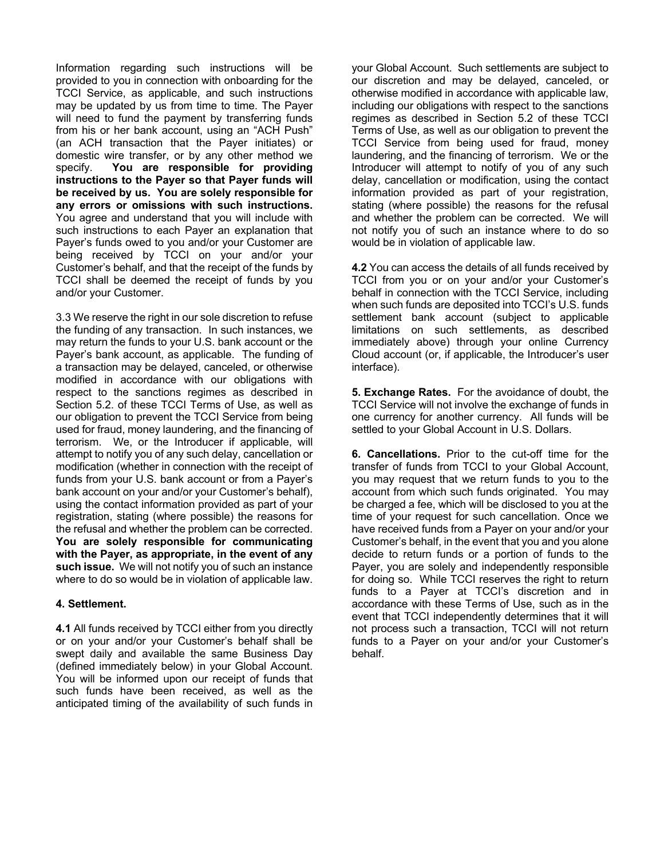Information regarding such instructions will be provided to you in connection with onboarding for the TCCI Service, as applicable, and such instructions may be updated by us from time to time. The Payer will need to fund the payment by transferring funds from his or her bank account, using an "ACH Push" (an ACH transaction that the Payer initiates) or domestic wire transfer, or by any other method we specify. **You are responsible for providing instructions to the Payer so that Payer funds will be received by us. You are solely responsible for any errors or omissions with such instructions.**  You agree and understand that you will include with such instructions to each Payer an explanation that Payer's funds owed to you and/or your Customer are being received by TCCI on your and/or your Customer's behalf, and that the receipt of the funds by TCCI shall be deemed the receipt of funds by you and/or your Customer.

3.3 We reserve the right in our sole discretion to refuse the funding of any transaction. In such instances, we may return the funds to your U.S. bank account or the Payer's bank account, as applicable. The funding of a transaction may be delayed, canceled, or otherwise modified in accordance with our obligations with respect to the sanctions regimes as described in Section 5.2. of these TCCI Terms of Use, as well as our obligation to prevent the TCCI Service from being used for fraud, money laundering, and the financing of terrorism. We, or the Introducer if applicable, will attempt to notify you of any such delay, cancellation or modification (whether in connection with the receipt of funds from your U.S. bank account or from a Payer's bank account on your and/or your Customer's behalf), using the contact information provided as part of your registration, stating (where possible) the reasons for the refusal and whether the problem can be corrected. **You are solely responsible for communicating with the Payer, as appropriate, in the event of any such issue.** We will not notify you of such an instance where to do so would be in violation of applicable law.

#### **4. Settlement.**

**4.1** All funds received by TCCI either from you directly or on your and/or your Customer's behalf shall be swept daily and available the same Business Day (defined immediately below) in your Global Account. You will be informed upon our receipt of funds that such funds have been received, as well as the anticipated timing of the availability of such funds in your Global Account. Such settlements are subject to our discretion and may be delayed, canceled, or otherwise modified in accordance with applicable law, including our obligations with respect to the sanctions regimes as described in Section 5.2 of these TCCI Terms of Use, as well as our obligation to prevent the TCCI Service from being used for fraud, money laundering, and the financing of terrorism. We or the Introducer will attempt to notify of you of any such delay, cancellation or modification, using the contact information provided as part of your registration, stating (where possible) the reasons for the refusal and whether the problem can be corrected. We will not notify you of such an instance where to do so would be in violation of applicable law.

**4.2** You can access the details of all funds received by TCCI from you or on your and/or your Customer's behalf in connection with the TCCI Service, including when such funds are deposited into TCCI's U.S. funds settlement bank account (subject to applicable limitations on such settlements, as described immediately above) through your online Currency Cloud account (or, if applicable, the Introducer's user interface).

**5. Exchange Rates.** For the avoidance of doubt, the TCCI Service will not involve the exchange of funds in one currency for another currency. All funds will be settled to your Global Account in U.S. Dollars.

**6. Cancellations.** Prior to the cut-off time for the transfer of funds from TCCI to your Global Account, you may request that we return funds to you to the account from which such funds originated.You may be charged a fee, which will be disclosed to you at the time of your request for such cancellation. Once we have received funds from a Payer on your and/or your Customer's behalf, in the event that you and you alone decide to return funds or a portion of funds to the Payer, you are solely and independently responsible for doing so. While TCCI reserves the right to return funds to a Payer at TCCI's discretion and in accordance with these Terms of Use, such as in the event that TCCI independently determines that it will not process such a transaction, TCCI will not return funds to a Payer on your and/or your Customer's behalf.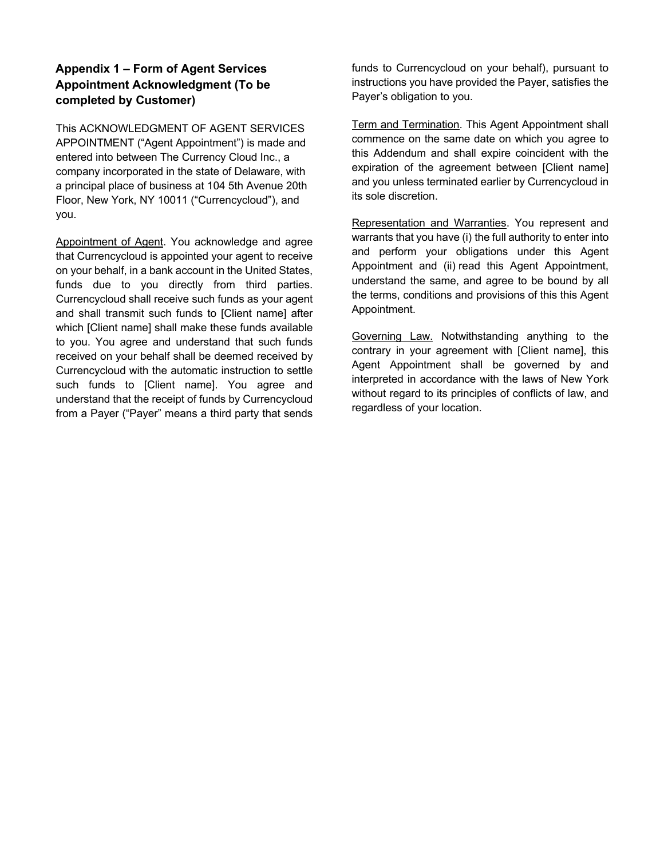## **Appendix 1 – Form of Agent Services Appointment Acknowledgment (To be completed by Customer)**

This ACKNOWLEDGMENT OF AGENT SERVICES APPOINTMENT ("Agent Appointment") is made and entered into between The Currency Cloud Inc., a company incorporated in the state of Delaware, with a principal place of business at 104 5th Avenue 20th Floor, New York, NY 10011 ("Currencycloud"), and you.

Appointment of Agent. You acknowledge and agree that Currencycloud is appointed your agent to receive on your behalf, in a bank account in the United States, funds due to you directly from third parties. Currencycloud shall receive such funds as your agent and shall transmit such funds to [Client name] after which [Client name] shall make these funds available to you. You agree and understand that such funds received on your behalf shall be deemed received by Currencycloud with the automatic instruction to settle such funds to [Client name]. You agree and understand that the receipt of funds by Currencycloud from a Payer ("Payer" means a third party that sends

funds to Currencycloud on your behalf), pursuant to instructions you have provided the Payer, satisfies the Payer's obligation to you.

**Term and Termination. This Agent Appointment shall** commence on the same date on which you agree to this Addendum and shall expire coincident with the expiration of the agreement between [Client name] and you unless terminated earlier by Currencycloud in its sole discretion.

Representation and Warranties. You represent and warrants that you have (i) the full authority to enter into and perform your obligations under this Agent Appointment and (ii) read this Agent Appointment, understand the same, and agree to be bound by all the terms, conditions and provisions of this this Agent Appointment.

Governing Law. Notwithstanding anything to the contrary in your agreement with [Client name], this Agent Appointment shall be governed by and interpreted in accordance with the laws of New York without regard to its principles of conflicts of law, and regardless of your location.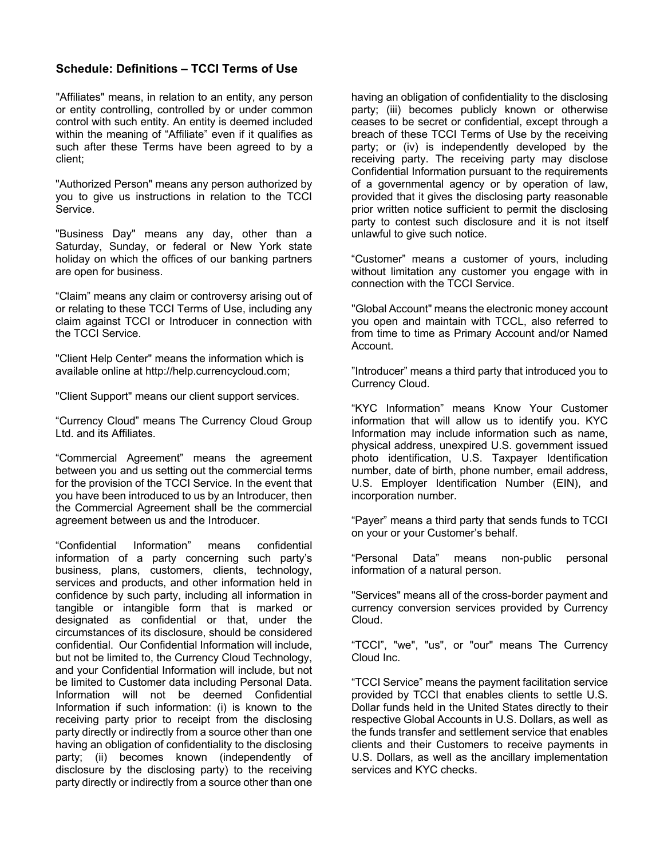## **Schedule: Definitions – TCCI Terms of Use**

"Affiliates" means, in relation to an entity, any person or entity controlling, controlled by or under common control with such entity. An entity is deemed included within the meaning of "Affiliate" even if it qualifies as such after these Terms have been agreed to by a client;

"Authorized Person" means any person authorized by you to give us instructions in relation to the TCCI Service.

"Business Day" means any day, other than a Saturday, Sunday, or federal or New York state holiday on which the offices of our banking partners are open for business.

"Claim" means any claim or controversy arising out of or relating to these TCCI Terms of Use, including any claim against TCCI or Introducer in connection with the TCCI Service.

"Client Help Center" means the information which is available online at http://help.currencycloud.com;

"Client Support" means our client support services.

"Currency Cloud" means The Currency Cloud Group Ltd. and its Affiliates.

"Commercial Agreement" means the agreement between you and us setting out the commercial terms for the provision of the TCCI Service. In the event that you have been introduced to us by an Introducer, then the Commercial Agreement shall be the commercial agreement between us and the Introducer.

"Confidential Information" means confidential information of a party concerning such party's business, plans, customers, clients, technology, services and products, and other information held in confidence by such party, including all information in tangible or intangible form that is marked or designated as confidential or that, under the circumstances of its disclosure, should be considered confidential. Our Confidential Information will include, but not be limited to, the Currency Cloud Technology, and your Confidential Information will include, but not be limited to Customer data including Personal Data. Information will not be deemed Confidential Information if such information: (i) is known to the receiving party prior to receipt from the disclosing party directly or indirectly from a source other than one having an obligation of confidentiality to the disclosing party; (ii) becomes known (independently of disclosure by the disclosing party) to the receiving party directly or indirectly from a source other than one

having an obligation of confidentiality to the disclosing party; (iii) becomes publicly known or otherwise ceases to be secret or confidential, except through a breach of these TCCI Terms of Use by the receiving party; or (iv) is independently developed by the receiving party. The receiving party may disclose Confidential Information pursuant to the requirements of a governmental agency or by operation of law, provided that it gives the disclosing party reasonable prior written notice sufficient to permit the disclosing party to contest such disclosure and it is not itself unlawful to give such notice.

"Customer" means a customer of yours, including without limitation any customer you engage with in connection with the TCCI Service.

"Global Account" means the electronic money account you open and maintain with TCCL, also referred to from time to time as Primary Account and/or Named Account.

"Introducer" means a third party that introduced you to Currency Cloud.

"KYC Information" means Know Your Customer information that will allow us to identify you. KYC Information may include information such as name, physical address, unexpired U.S. government issued photo identification, U.S. Taxpayer Identification number, date of birth, phone number, email address, U.S. Employer Identification Number (EIN), and incorporation number.

"Payer" means a third party that sends funds to TCCI on your or your Customer's behalf.

"Personal Data" means non-public personal information of a natural person.

"Services" means all of the cross-border payment and currency conversion services provided by Currency Cloud.

"TCCI", "we", "us", or "our" means The Currency Cloud Inc.

"TCCI Service" means the payment facilitation service provided by TCCI that enables clients to settle U.S. Dollar funds held in the United States directly to their respective Global Accounts in U.S. Dollars, as well as the funds transfer and settlement service that enables clients and their Customers to receive payments in U.S. Dollars, as well as the ancillary implementation services and KYC checks.